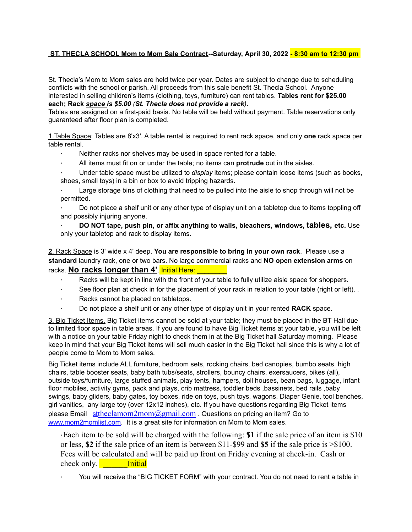# **ST. THECLA SCHOOL Mom to Mom Sale Contract--Saturday, April 30, 2022 - 8:30 am to 12:30 pm**

St. Thecla's Mom to Mom sales are held twice per year. Dates are subject to change due to scheduling conflicts with the school or parish. All proceeds from this sale benefit St. Thecla School. Anyone interested in selling children's items (clothing, toys, furniture) can rent tables. **Tables rent for \$25.00 each; Rack** *space is \$5.00 (St. Thecla does not provide a rack).*

Tables are assigned on a first-paid basis. No table will be held without payment. Table reservations only guaranteed after floor plan is completed.

1.Table Space: Tables are 8'x3'. A table rental is required to rent rack space, and only **one** rack space per table rental.

- Neither racks nor shelves may be used in space rented for a table.
- ∙ All items must fit on or under the table; no items can **protrude** out in the aisles.
- ∙ Under table space must be utilized to *display* items; please contain loose items (such as books, shoes, small toys) in a bin or box to avoid tripping hazards.

∙ Large storage bins of clothing that need to be pulled into the aisle to shop through will not be permitted.

∙ Do not place a shelf unit or any other type of display unit on a tabletop due to items toppling off and possibly injuring anyone.

∙ **DO NOT tape, push pin, or affix anything to walls, bleachers, windows, tables, etc.** Use only your tabletop and rack to display items.

**2**. Rack Space is 3' wide x 4' deep. **You are responsible to bring in your own rack**. Please use a **standard** laundry rack, one or two bars. No large commercial racks and **NO open extension arms** on racks. **No racks longer than 4'**. Initial Here: **Note that** 

- Racks will be kept in line with the front of your table to fully utilize aisle space for shoppers.
- See floor plan at check in for the placement of your rack in relation to your table (right or left). .
- ∙ Racks cannot be placed on tabletops.
- ∙ Do not place a shelf unit or any other type of display unit in your rented **RACK** space.

3. Big Ticket Items. Big Ticket items cannot be sold at your table; they must be placed in the BT Hall due to limited floor space in table areas. If you are found to have Big Ticket items at your table, you will be left with a notice on your table Friday night to check them in at the Big Ticket hall Saturday morning. Please keep in mind that your Big Ticket items will sell much easier in the Big Ticket hall since this is why a lot of people come to Mom to Mom sales.

Big Ticket items include ALL furniture, bedroom sets, rocking chairs, bed canopies, bumbo seats, high chairs, table booster seats, baby bath tubs/seats, strollers, bouncy chairs, exersaucers, bikes (all), outside toys/furniture, large stuffed animals, play tents, hampers, doll houses, bean bags, luggage, infant floor mobiles, activity gyms, pack and plays, crib mattress, toddler beds ,bassinets, bed rails ,baby swings, baby gliders, baby gates, toy boxes, ride on toys, push toys, wagons, Diaper Genie, tool benches, girl vanities, any large toy (over 12x12 inches), etc. If you have questions regarding Big Ticket items please Email st[theclamom2mom@gmail.com](mailto:theclamom2mom@gmail.com). Questions on pricing an item? Go to [www.mom2momlist.com.](http://www.mom2momlist.com/) It is a great site for information on Mom to Mom sales.

∙Each item to be sold will be charged with the following: **\$1** if the sale price of an item is \$10 or less, **\$2** if the sale price of an item is between \$11-\$99 and **\$5** if the sale price is >\$100. Fees will be calculated and will be paid up front on Friday evening at check-in. Cash or check only. **Initial** 

∙ You will receive the "BIG TICKET FORM" with your contract. You do not need to rent a table in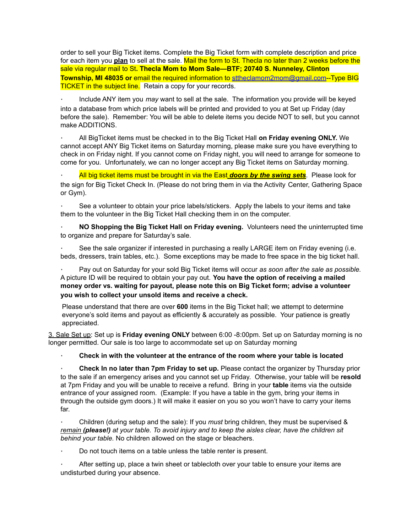order to sell your Big Ticket items. Complete the Big Ticket form with complete description and price for each item you **plan** to sell at the sale. Mail the form to St. Thecla no later than 2 weeks before the sale via regular mail to St**. Thecla Mom to Mom Sale—BTF; 20740 S. Nunneley, Clinton Township, MI 48035 or** email the required information to [sttheclamom2mom@gmail.com](mailto:sttheclamom2mom@gmail.com)--Type BIG **TICKET in the subject line.** Retain a copy for your records.

∙ Include ANY item you *may* want to sell at the sale. The information you provide will be keyed into a database from which price labels will be printed and provided to you at Set up Friday (day before the sale). Remember: You will be able to delete items you decide NOT to sell, but you cannot make ADDITIONS.

∙ All BigTicket items must be checked in to the Big Ticket Hall **on Friday evening ONLY.** We cannot accept ANY Big Ticket items on Saturday morning, please make sure you have everything to check in on Friday night. If you cannot come on Friday night, you will need to arrange for someone to come for you. Unfortunately, we can no longer accept any Big Ticket items on Saturday morning.

∙ All big ticket items must be brought in via the East *doors by the swing sets*. Please look for the sign for Big Ticket Check In. (Please do not bring them in via the Activity Center, Gathering Space or Gym).

∙ See a volunteer to obtain your price labels/stickers. Apply the labels to your items and take them to the volunteer in the Big Ticket Hall checking them in on the computer.

∙ **NO Shopping the Big Ticket Hall on Friday evening.** Volunteers need the uninterrupted time to organize and prepare for Saturday's sale.

See the sale organizer if interested in purchasing a really LARGE item on Friday evening (i.e. beds, dressers, train tables, etc.). Some exceptions may be made to free space in the big ticket hall.

∙ Pay out on Saturday for your sold Big Ticket items will occur *as soon after the sale as possible.* A picture ID will be required to obtain your pay out. **You have the option of receiving a mailed money order vs. waiting for payout, please note this on Big Ticket form; advise a volunteer you wish to collect your unsold items and receive a check.**

Please understand that there are over **600** items in the Big Ticket hall; we attempt to determine everyone's sold items and payout as efficiently & accurately as possible. Your patience is greatly appreciated.

3. Sale Set up: Set up is **Friday evening ONLY** between 6:00 -8:00pm. Set up on Saturday morning is no longer permitted. Our sale is too large to accommodate set up on Saturday morning

∙ **Check in with the volunteer at the entrance of the room where your table is located**

∙ **Check In no later than 7pm Friday to set up.** Please contact the organizer by Thursday prior to the sale if an emergency arises and you cannot set up Friday. Otherwise, your table will be **resold** at 7pm Friday and you will be unable to receive a refund. Bring in your **table** items via the outside entrance of your assigned room. (Example: If you have a table in the gym, bring your items in through the outside gym doors.) It will make it easier on you so you won't have to carry your items far.

∙ Children (during setup and the sale): If you *must* bring children, they must be supervised & remain (please!) at your table. To avoid injury and to keep the aisles clear, have the children sit *behind your table.* No children allowed on the stage or bleachers.

∙ Do not touch items on a table unless the table renter is present.

∙ After setting up, place a twin sheet or tablecloth over your table to ensure your items are undisturbed during your absence.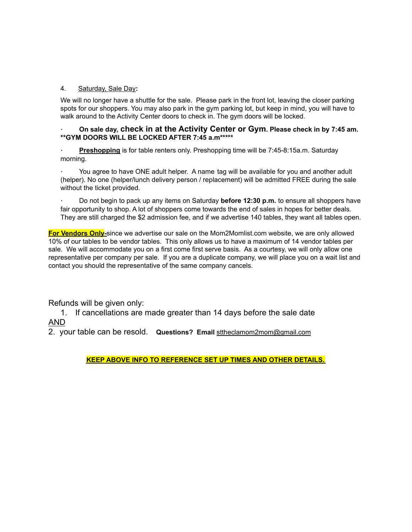## 4. Saturday, Sale Day**:**

We will no longer have a shuttle for the sale. Please park in the front lot, leaving the closer parking spots for our shoppers. You may also park in the gym parking lot, but keep in mind, you will have to walk around to the Activity Center doors to check in. The gym doors will be locked.

### ∙ **On sale day, check in at the Activity Center or Gym. Please check in by 7:45 am. \*\*GYM DOORS WILL BE LOCKED AFTER 7:45 a.m\*\*\*\*\***

**Preshopping** is for table renters only. Preshopping time will be 7:45-8:15a.m. Saturday morning.

∙ You agree to have ONE adult helper. A name tag will be available for you and another adult (helper). No one (helper/lunch delivery person / replacement) will be admitted FREE during the sale without the ticket provided.

∙ Do not begin to pack up any items on Saturday **before 12:30 p.m.** to ensure all shoppers have fair opportunity to shop. A lot of shoppers come towards the end of sales in hopes for better deals. They are still charged the \$2 admission fee, and if we advertise 140 tables, they want all tables open.

**For Vendors Only-**since we advertise our sale on the Mom2Momlist.com website, we are only allowed 10% of our tables to be vendor tables. This only allows us to have a maximum of 14 vendor tables per sale. We will accommodate you on a first come first serve basis. As a courtesy, we will only allow one representative per company per sale. If you are a duplicate company, we will place you on a wait list and contact you should the representative of the same company cancels.

Refunds will be given only:

1. If cancellations are made greater than 14 days before the sale date AND

2. your table can be resold. **Questions? Email** [sttheclamom2mom@gmail.com](mailto:sttheclamom2mom@gmail.com)

**KEEP ABOVE INFO TO REFERENCE SET UP TIMES AND OTHER DETAILS.**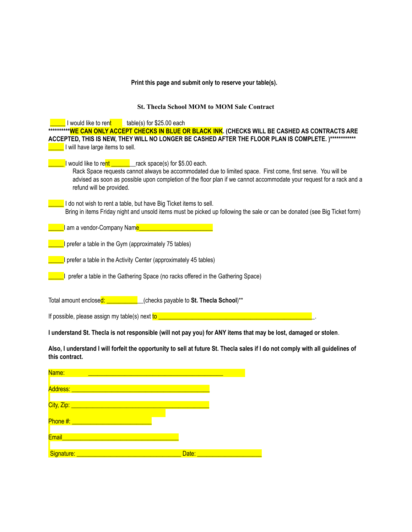#### **Print this page and submit only to reserve your table(s).**

#### **St. Thecla School MOM to MOM Sale Contract**

I would like to rent \_\_\_\_\_table(s) for \$25.00 each **\*\*\*\*\*\*\*\*\*\*WE CAN ONLY ACCEPT CHECKS IN BLUE OR BLACK INK. (CHECKS WILL BE CASHED AS CONTRACTS ARE ACCEPTED, THIS IS NEW, THEY WILL NO LONGER BE CASHED AFTER THE FLOOR PLAN IS COMPLETE. )\*\*\*\*\*\*\*\*\*\*\*\* L** I will have large items to sell. I would like to rent The Track space(s) for \$5.00 each. Rack Space requests cannot always be accommodated due to limited space. First come, first serve. You will be advised as soon as possible upon completion of the floor plan if we cannot accommodate your request for a rack and a refund will be provided. I do not wish to rent a table, but have Big Ticket items to sell. Bring in items Friday night and unsold items must be picked up following the sale or can be donated (see Big Ticket form) <u>\_\_\_\_</u>I am a vendor-Company Nam<mark>e\_\_</mark> **The I** prefer a table in the Gym (approximately 75 tables)  $\blacksquare$  I prefer a table in the Activity Center (approximately 45 tables) **The Integral of the Set and Tena** Space (no racks offered in the Gathering Space) Total amount enclosed: \_\_\_\_\_\_\_\_\_\_\_\_(checks payable to **St. Thecla School**)\*\* If possible, please assign my table(s) next  $\frac{\text{to}}{\text{...}}$ I understand St. Thecla is not responsible (will not pay you) for ANY items that may be lost, damaged or stolen. Also, I understand I will forfeit the opportunity to sell at future St. Thecla sales if I do not comply with all guidelines of **this contract.**

| Name:                           |       |
|---------------------------------|-------|
|                                 |       |
|                                 |       |
| City, Zip: ___________          |       |
| Phone #: ______________________ |       |
|                                 |       |
| Email                           |       |
| Signature:                      | Date: |